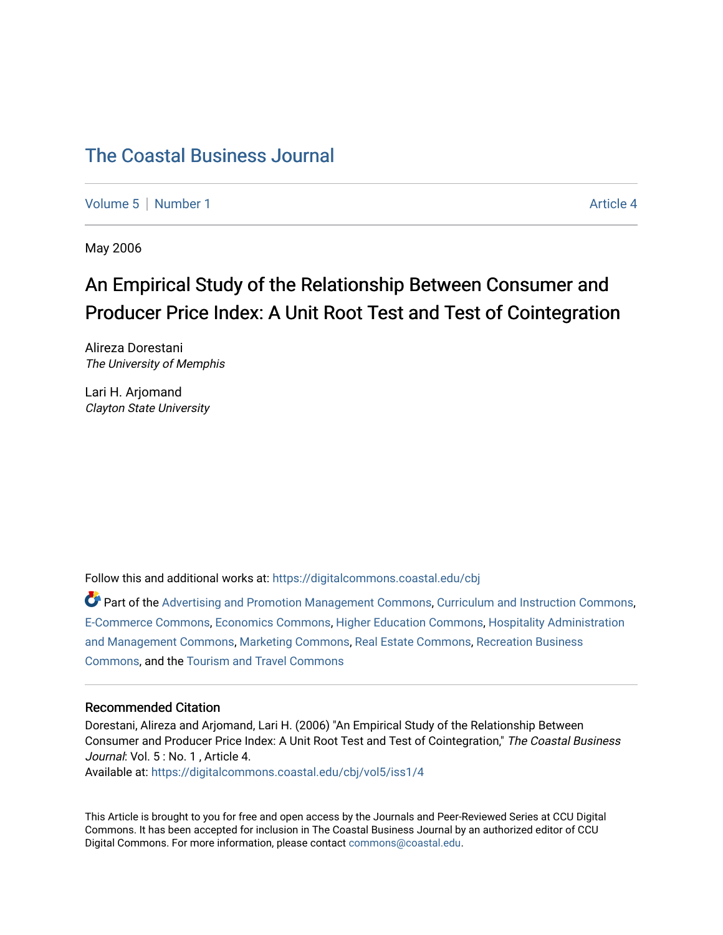# [The Coastal Business Journal](https://digitalcommons.coastal.edu/cbj)

[Volume 5](https://digitalcommons.coastal.edu/cbj/vol5) | [Number 1](https://digitalcommons.coastal.edu/cbj/vol5/iss1) Article 4

May 2006

# An Empirical Study of the Relationship Between Consumer and Producer Price Index: A Unit Root Test and Test of Cointegration

Alireza Dorestani The University of Memphis

Lari H. Arjomand Clayton State University

Follow this and additional works at: [https://digitalcommons.coastal.edu/cbj](https://digitalcommons.coastal.edu/cbj?utm_source=digitalcommons.coastal.edu%2Fcbj%2Fvol5%2Fiss1%2F4&utm_medium=PDF&utm_campaign=PDFCoverPages) 

Part of the [Advertising and Promotion Management Commons,](http://network.bepress.com/hgg/discipline/626?utm_source=digitalcommons.coastal.edu%2Fcbj%2Fvol5%2Fiss1%2F4&utm_medium=PDF&utm_campaign=PDFCoverPages) [Curriculum and Instruction Commons,](http://network.bepress.com/hgg/discipline/786?utm_source=digitalcommons.coastal.edu%2Fcbj%2Fvol5%2Fiss1%2F4&utm_medium=PDF&utm_campaign=PDFCoverPages) [E-Commerce Commons,](http://network.bepress.com/hgg/discipline/624?utm_source=digitalcommons.coastal.edu%2Fcbj%2Fvol5%2Fiss1%2F4&utm_medium=PDF&utm_campaign=PDFCoverPages) [Economics Commons](http://network.bepress.com/hgg/discipline/340?utm_source=digitalcommons.coastal.edu%2Fcbj%2Fvol5%2Fiss1%2F4&utm_medium=PDF&utm_campaign=PDFCoverPages), [Higher Education Commons](http://network.bepress.com/hgg/discipline/1245?utm_source=digitalcommons.coastal.edu%2Fcbj%2Fvol5%2Fiss1%2F4&utm_medium=PDF&utm_campaign=PDFCoverPages), [Hospitality Administration](http://network.bepress.com/hgg/discipline/632?utm_source=digitalcommons.coastal.edu%2Fcbj%2Fvol5%2Fiss1%2F4&utm_medium=PDF&utm_campaign=PDFCoverPages) [and Management Commons,](http://network.bepress.com/hgg/discipline/632?utm_source=digitalcommons.coastal.edu%2Fcbj%2Fvol5%2Fiss1%2F4&utm_medium=PDF&utm_campaign=PDFCoverPages) [Marketing Commons](http://network.bepress.com/hgg/discipline/638?utm_source=digitalcommons.coastal.edu%2Fcbj%2Fvol5%2Fiss1%2F4&utm_medium=PDF&utm_campaign=PDFCoverPages), [Real Estate Commons](http://network.bepress.com/hgg/discipline/641?utm_source=digitalcommons.coastal.edu%2Fcbj%2Fvol5%2Fiss1%2F4&utm_medium=PDF&utm_campaign=PDFCoverPages), [Recreation Business](http://network.bepress.com/hgg/discipline/1083?utm_source=digitalcommons.coastal.edu%2Fcbj%2Fvol5%2Fiss1%2F4&utm_medium=PDF&utm_campaign=PDFCoverPages) [Commons](http://network.bepress.com/hgg/discipline/1083?utm_source=digitalcommons.coastal.edu%2Fcbj%2Fvol5%2Fiss1%2F4&utm_medium=PDF&utm_campaign=PDFCoverPages), and the [Tourism and Travel Commons](http://network.bepress.com/hgg/discipline/1082?utm_source=digitalcommons.coastal.edu%2Fcbj%2Fvol5%2Fiss1%2F4&utm_medium=PDF&utm_campaign=PDFCoverPages)

#### Recommended Citation

Dorestani, Alireza and Arjomand, Lari H. (2006) "An Empirical Study of the Relationship Between Consumer and Producer Price Index: A Unit Root Test and Test of Cointegration," The Coastal Business Journal: Vol. 5 : No. 1, Article 4.

Available at: [https://digitalcommons.coastal.edu/cbj/vol5/iss1/4](https://digitalcommons.coastal.edu/cbj/vol5/iss1/4?utm_source=digitalcommons.coastal.edu%2Fcbj%2Fvol5%2Fiss1%2F4&utm_medium=PDF&utm_campaign=PDFCoverPages)

This Article is brought to you for free and open access by the Journals and Peer-Reviewed Series at CCU Digital Commons. It has been accepted for inclusion in The Coastal Business Journal by an authorized editor of CCU Digital Commons. For more information, please contact [commons@coastal.edu](mailto:commons@coastal.edu).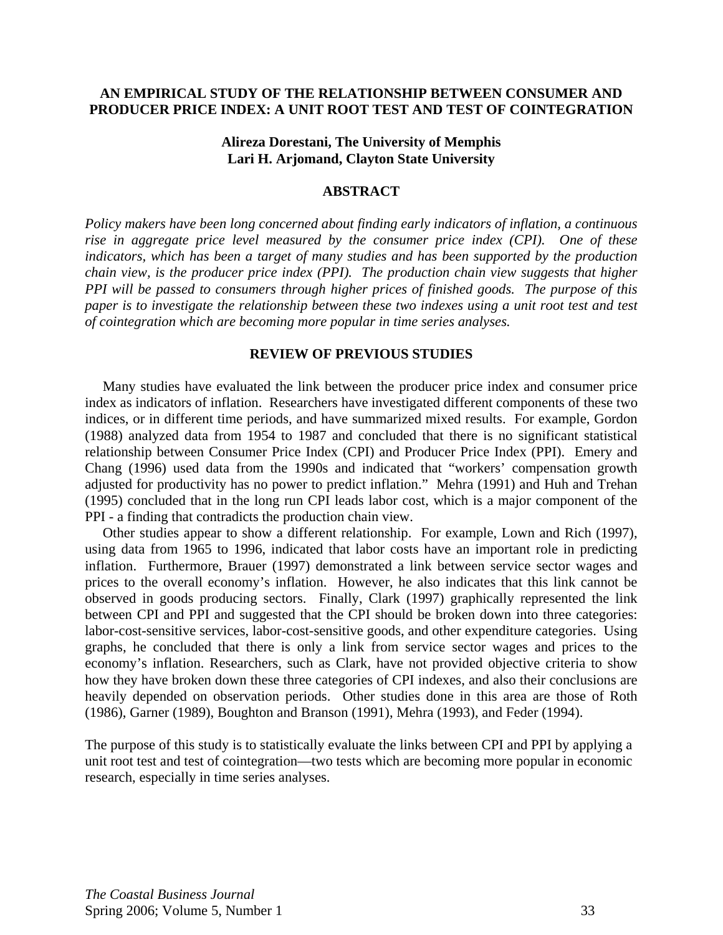### **AN EMPIRICAL STUDY OF THE RELATIONSHIP BETWEEN CONSUMER AND PRODUCER PRICE INDEX: A UNIT ROOT TEST AND TEST OF COINTEGRATION**

### **Alireza Dorestani, The University of Memphis Lari H. Arjomand, Clayton State University**

#### **ABSTRACT**

*Policy makers have been long concerned about finding early indicators of inflation, a continuous rise in aggregate price level measured by the consumer price index (CPI). One of these indicators, which has been a target of many studies and has been supported by the production chain view, is the producer price index (PPI). The production chain view suggests that higher PPI will be passed to consumers through higher prices of finished goods. The purpose of this paper is to investigate the relationship between these two indexes using a unit root test and test of cointegration which are becoming more popular in time series analyses.* 

#### **REVIEW OF PREVIOUS STUDIES**

 Many studies have evaluated the link between the producer price index and consumer price index as indicators of inflation. Researchers have investigated different components of these two indices, or in different time periods, and have summarized mixed results. For example, Gordon (1988) analyzed data from 1954 to 1987 and concluded that there is no significant statistical relationship between Consumer Price Index (CPI) and Producer Price Index (PPI). Emery and Chang (1996) used data from the 1990s and indicated that "workers' compensation growth adjusted for productivity has no power to predict inflation." Mehra (1991) and Huh and Trehan (1995) concluded that in the long run CPI leads labor cost, which is a major component of the PPI - a finding that contradicts the production chain view.

 Other studies appear to show a different relationship. For example, Lown and Rich (1997), using data from 1965 to 1996, indicated that labor costs have an important role in predicting inflation. Furthermore, Brauer (1997) demonstrated a link between service sector wages and prices to the overall economy's inflation. However, he also indicates that this link cannot be observed in goods producing sectors. Finally, Clark (1997) graphically represented the link between CPI and PPI and suggested that the CPI should be broken down into three categories: labor-cost-sensitive services, labor-cost-sensitive goods, and other expenditure categories. Using graphs, he concluded that there is only a link from service sector wages and prices to the economy's inflation. Researchers, such as Clark, have not provided objective criteria to show how they have broken down these three categories of CPI indexes, and also their conclusions are heavily depended on observation periods. Other studies done in this area are those of Roth (1986), Garner (1989), Boughton and Branson (1991), Mehra (1993), and Feder (1994).

The purpose of this study is to statistically evaluate the links between CPI and PPI by applying a unit root test and test of cointegration—two tests which are becoming more popular in economic research, especially in time series analyses.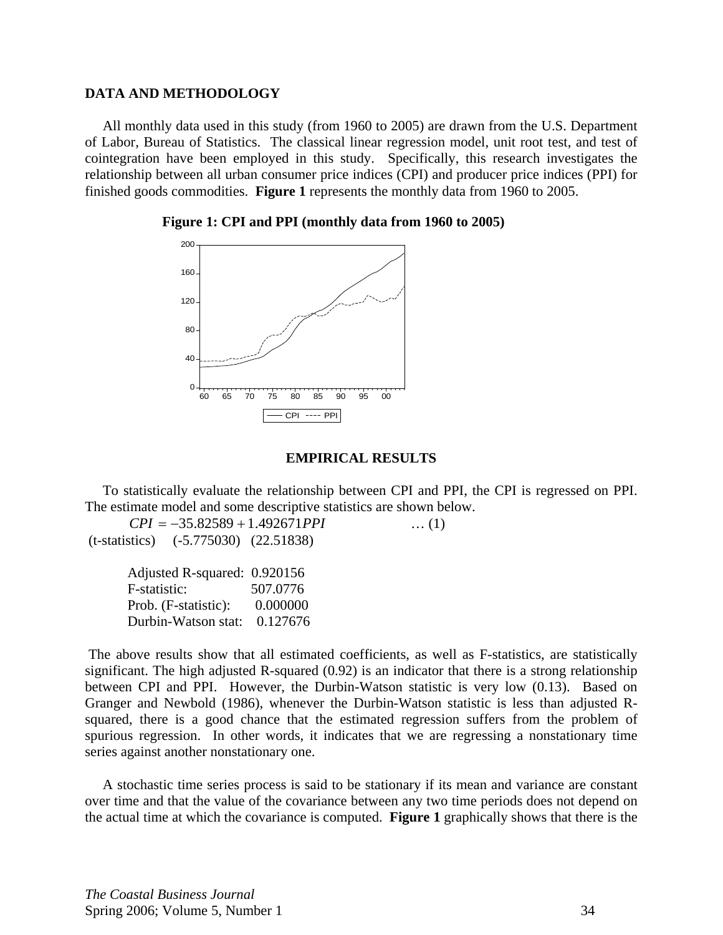# **DATA AND METHODOLOGY**

 All monthly data used in this study (from 1960 to 2005) are drawn from the U.S. Department of Labor, Bureau of Statistics. The classical linear regression model, unit root test, and test of cointegration have been employed in this study. Specifically, this research investigates the relationship between all urban consumer price indices (CPI) and producer price indices (PPI) for finished goods commodities. **Figure 1** represents the monthly data from 1960 to 2005.





#### **EMPIRICAL RESULTS**

 To statistically evaluate the relationship between CPI and PPI, the CPI is regressed on PPI. The estimate model and some descriptive statistics are shown below.

*CPI* = −35.82589 + 1.492671*PPI* … (1) (t-statistics) (-5.775030) (22.51838)

| Adjusted R-squared: 0.920156 |          |
|------------------------------|----------|
| F-statistic:                 | 507.0776 |
| Prob. (F-statistic):         | 0.000000 |
| Durbin-Watson stat:          | 0.127676 |

 The above results show that all estimated coefficients, as well as F-statistics, are statistically significant. The high adjusted R-squared (0.92) is an indicator that there is a strong relationship between CPI and PPI. However, the Durbin-Watson statistic is very low (0.13). Based on Granger and Newbold (1986), whenever the Durbin-Watson statistic is less than adjusted Rsquared, there is a good chance that the estimated regression suffers from the problem of spurious regression. In other words, it indicates that we are regressing a nonstationary time series against another nonstationary one.

 A stochastic time series process is said to be stationary if its mean and variance are constant over time and that the value of the covariance between any two time periods does not depend on the actual time at which the covariance is computed. **Figure 1** graphically shows that there is the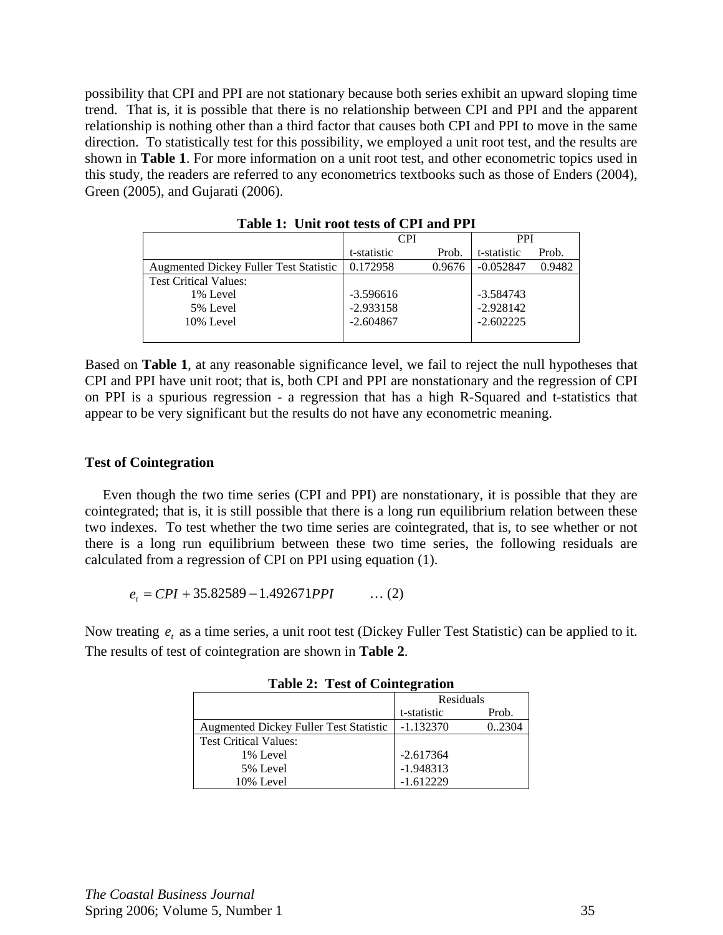possibility that CPI and PPI are not stationary because both series exhibit an upward sloping time trend. That is, it is possible that there is no relationship between CPI and PPI and the apparent relationship is nothing other than a third factor that causes both CPI and PPI to move in the same direction. To statistically test for this possibility, we employed a unit root test, and the results are shown in **Table 1**. For more information on a unit root test, and other econometric topics used in this study, the readers are referred to any econometrics textbooks such as those of Enders (2004), Green (2005), and Gujarati (2006).

|                                               | <b>CPI</b>  |        | <b>PPI</b>  |        |
|-----------------------------------------------|-------------|--------|-------------|--------|
|                                               | t-statistic | Prob.  | t-statistic | Prob.  |
| <b>Augmented Dickey Fuller Test Statistic</b> | 0.172958    | 0.9676 | $-0.052847$ | 0.9482 |
| <b>Test Critical Values:</b>                  |             |        |             |        |
| 1% Level                                      | $-3.596616$ |        | $-3.584743$ |        |
| 5% Level                                      | $-2.933158$ |        | $-2.928142$ |        |
| 10% Level                                     | $-2.604867$ |        | $-2.602225$ |        |
|                                               |             |        |             |        |

 **Table 1: Unit root tests of CPI and PPI** 

Based on **Table 1**, at any reasonable significance level, we fail to reject the null hypotheses that CPI and PPI have unit root; that is, both CPI and PPI are nonstationary and the regression of CPI on PPI is a spurious regression - a regression that has a high R-Squared and t-statistics that appear to be very significant but the results do not have any econometric meaning.

# **Test of Cointegration**

 Even though the two time series (CPI and PPI) are nonstationary, it is possible that they are cointegrated; that is, it is still possible that there is a long run equilibrium relation between these two indexes. To test whether the two time series are cointegrated, that is, to see whether or not there is a long run equilibrium between these two time series, the following residuals are calculated from a regression of CPI on PPI using equation (1).

 $e_t = CPI + 35.82589 - 1.492671PPI$  ... (2)

Now treating  $e_t$ , as a time series, a unit root test (Dickey Fuller Test Statistic) can be applied to it. The results of test of cointegration are shown in **Table 2**.

|                                               | Residuals   |        |
|-----------------------------------------------|-------------|--------|
|                                               | t-statistic | Prob.  |
| <b>Augmented Dickey Fuller Test Statistic</b> | $-1.132370$ | 0.2304 |
| <b>Test Critical Values:</b>                  |             |        |
| 1% Level                                      | $-2.617364$ |        |
| 5% Level                                      | $-1.948313$ |        |
| 10% Level                                     | $-1.612229$ |        |

**Table 2: Test of Cointegration**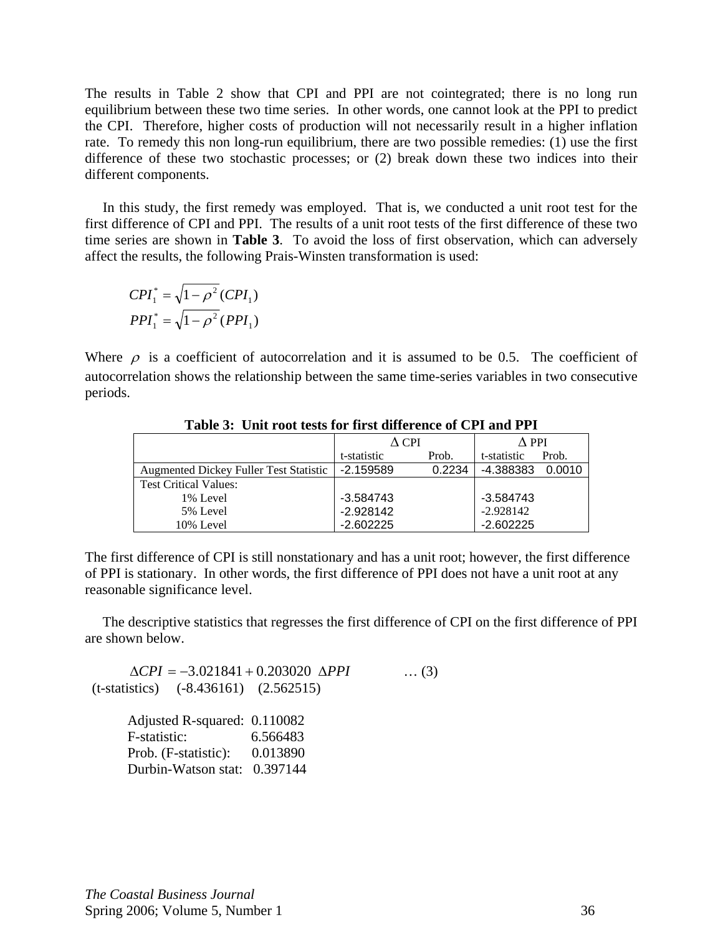The results in Table 2 show that CPI and PPI are not cointegrated; there is no long run equilibrium between these two time series. In other words, one cannot look at the PPI to predict the CPI. Therefore, higher costs of production will not necessarily result in a higher inflation rate. To remedy this non long-run equilibrium, there are two possible remedies: (1) use the first difference of these two stochastic processes; or (2) break down these two indices into their different components.

 In this study, the first remedy was employed. That is, we conducted a unit root test for the first difference of CPI and PPI. The results of a unit root tests of the first difference of these two time series are shown in **Table 3**. To avoid the loss of first observation, which can adversely affect the results, the following Prais-Winsten transformation is used:

$$
CPI_1^* = \sqrt{1 - \rho^2} (CPI_1)
$$
  
 
$$
PPI_1^* = \sqrt{1 - \rho^2} (PPI_1)
$$

Where  $\rho$  is a coefficient of autocorrelation and it is assumed to be 0.5. The coefficient of autocorrelation shows the relationship between the same time-series variables in two consecutive periods.

|                                        | A CPI       |        | A PPI       |        |
|----------------------------------------|-------------|--------|-------------|--------|
|                                        | t-statistic | Prob.  | t-statistic | Prob.  |
| Augmented Dickey Fuller Test Statistic | $-2.159589$ | 0.2234 | -4.388383   | 0.0010 |
| <b>Test Critical Values:</b>           |             |        |             |        |
| 1% Level                               | $-3.584743$ |        | $-3.584743$ |        |
| 5% Level                               | $-2.928142$ |        | $-2.928142$ |        |
| 10% Level                              | $-2.602225$ |        | $-2.602225$ |        |

**Table 3: Unit root tests for first difference of CPI and PPI** 

The first difference of CPI is still nonstationary and has a unit root; however, the first difference of PPI is stationary. In other words, the first difference of PPI does not have a unit root at any reasonable significance level.

 The descriptive statistics that regresses the first difference of CPI on the first difference of PPI are shown below.

Δ*CPI* = −3.021841 + 0.203020 Δ*PPI* … (3) (t-statistics) (-8.436161) (2.562515) Adjusted R-squared: 0.110082

| F-statistic:                 | 6.566483 |
|------------------------------|----------|
| Prob. (F-statistic):         | 0.013890 |
| Durbin-Watson stat: 0.397144 |          |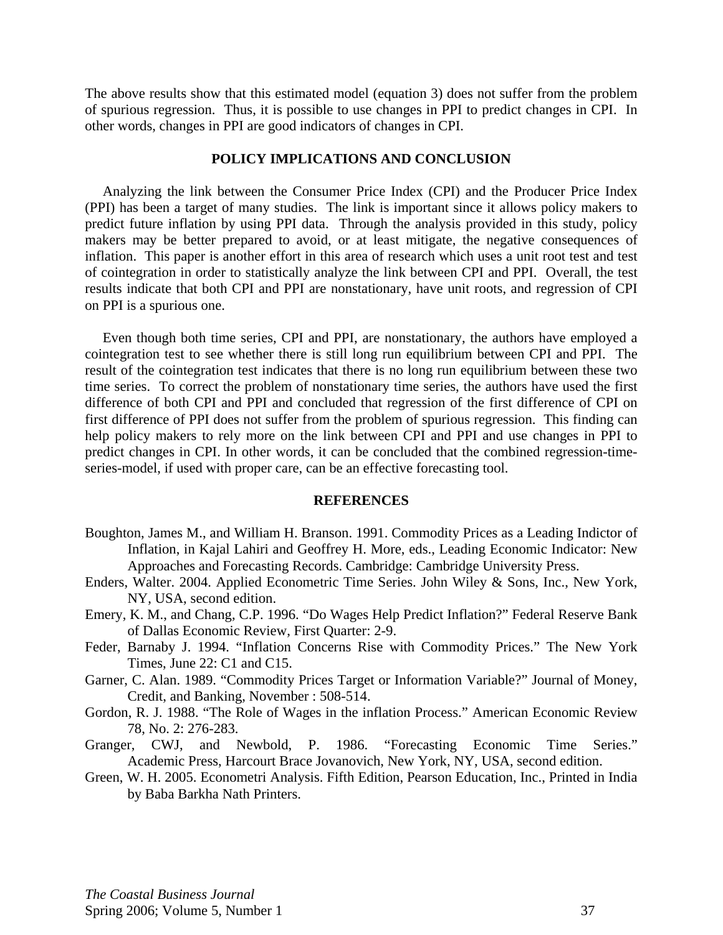The above results show that this estimated model (equation 3) does not suffer from the problem of spurious regression. Thus, it is possible to use changes in PPI to predict changes in CPI. In other words, changes in PPI are good indicators of changes in CPI.

### **POLICY IMPLICATIONS AND CONCLUSION**

 Analyzing the link between the Consumer Price Index (CPI) and the Producer Price Index (PPI) has been a target of many studies. The link is important since it allows policy makers to predict future inflation by using PPI data. Through the analysis provided in this study, policy makers may be better prepared to avoid, or at least mitigate, the negative consequences of inflation. This paper is another effort in this area of research which uses a unit root test and test of cointegration in order to statistically analyze the link between CPI and PPI. Overall, the test results indicate that both CPI and PPI are nonstationary, have unit roots, and regression of CPI on PPI is a spurious one.

 Even though both time series, CPI and PPI, are nonstationary, the authors have employed a cointegration test to see whether there is still long run equilibrium between CPI and PPI. The result of the cointegration test indicates that there is no long run equilibrium between these two time series. To correct the problem of nonstationary time series, the authors have used the first difference of both CPI and PPI and concluded that regression of the first difference of CPI on first difference of PPI does not suffer from the problem of spurious regression. This finding can help policy makers to rely more on the link between CPI and PPI and use changes in PPI to predict changes in CPI. In other words, it can be concluded that the combined regression-timeseries-model, if used with proper care, can be an effective forecasting tool.

#### **REFERENCES**

- Boughton, James M., and William H. Branson. 1991. Commodity Prices as a Leading Indictor of Inflation, in Kajal Lahiri and Geoffrey H. More, eds., Leading Economic Indicator: New Approaches and Forecasting Records. Cambridge: Cambridge University Press.
- Enders, Walter. 2004. Applied Econometric Time Series. John Wiley & Sons, Inc., New York, NY, USA, second edition.
- Emery, K. M., and Chang, C.P. 1996. "Do Wages Help Predict Inflation?" Federal Reserve Bank of Dallas Economic Review, First Quarter: 2-9.
- Feder, Barnaby J. 1994. "Inflation Concerns Rise with Commodity Prices." The New York Times, June 22: C1 and C15.
- Garner, C. Alan. 1989. "Commodity Prices Target or Information Variable?" Journal of Money, Credit, and Banking, November : 508-514.
- Gordon, R. J. 1988. "The Role of Wages in the inflation Process." American Economic Review 78, No. 2: 276-283.
- Granger, CWJ, and Newbold, P. 1986. "Forecasting Economic Time Series." Academic Press, Harcourt Brace Jovanovich, New York, NY, USA, second edition.
- Green, W. H. 2005. Econometri Analysis. Fifth Edition, Pearson Education, Inc., Printed in India by Baba Barkha Nath Printers.